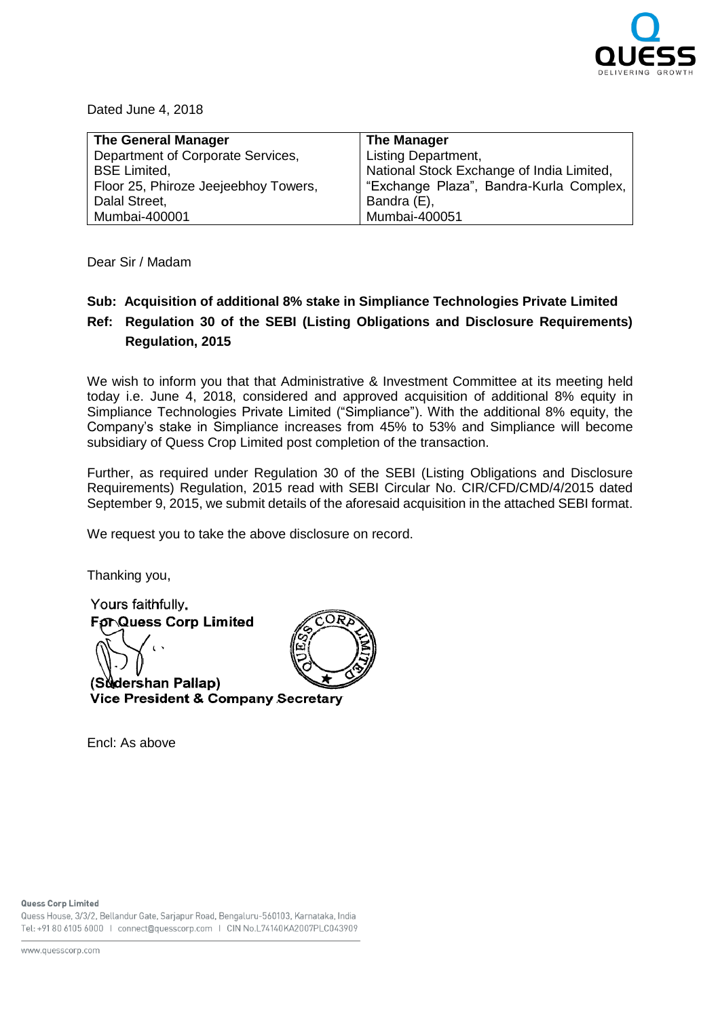

Dated June 4, 2018

| <b>The General Manager</b>           | <b>The Manager</b>                        |
|--------------------------------------|-------------------------------------------|
| Department of Corporate Services,    | <b>Listing Department,</b>                |
| <b>BSE Limited.</b>                  | National Stock Exchange of India Limited, |
| Floor 25, Phiroze Jeejeebhoy Towers, | "Exchange Plaza", Bandra-Kurla Complex,   |
| Dalal Street,                        | Bandra (E),                               |
| Mumbai-400001                        | Mumbai-400051                             |

Dear Sir / Madam

## **Sub: Acquisition of additional 8% stake in Simpliance Technologies Private Limited Ref: Regulation 30 of the SEBI (Listing Obligations and Disclosure Requirements) Regulation, 2015**

We wish to inform you that that Administrative & Investment Committee at its meeting held today i.e. June 4, 2018, considered and approved acquisition of additional 8% equity in Simpliance Technologies Private Limited ("Simpliance"). With the additional 8% equity, the Company's stake in Simpliance increases from 45% to 53% and Simpliance will become subsidiary of Quess Crop Limited post completion of the transaction.

Further, as required under Regulation 30 of the SEBI (Listing Obligations and Disclosure Requirements) Regulation, 2015 read with SEBI Circular No. CIR/CFD/CMD/4/2015 dated September 9, 2015, we submit details of the aforesaid acquisition in the attached SEBI format.

We request you to take the above disclosure on record.

Thanking you,

Yours faithfully, **For Quess Corp Limited** (Sudershan Pallap) Vice President & Company Secretary

Encl: As above



Quess House, 3/3/2, Bellandur Gate, Sarjapur Road, Bengaluru-560103, Karnataka, India Tel: +91 80 6105 6000 | connect@quesscorp.com | CIN No.L74140KA2007PLC043909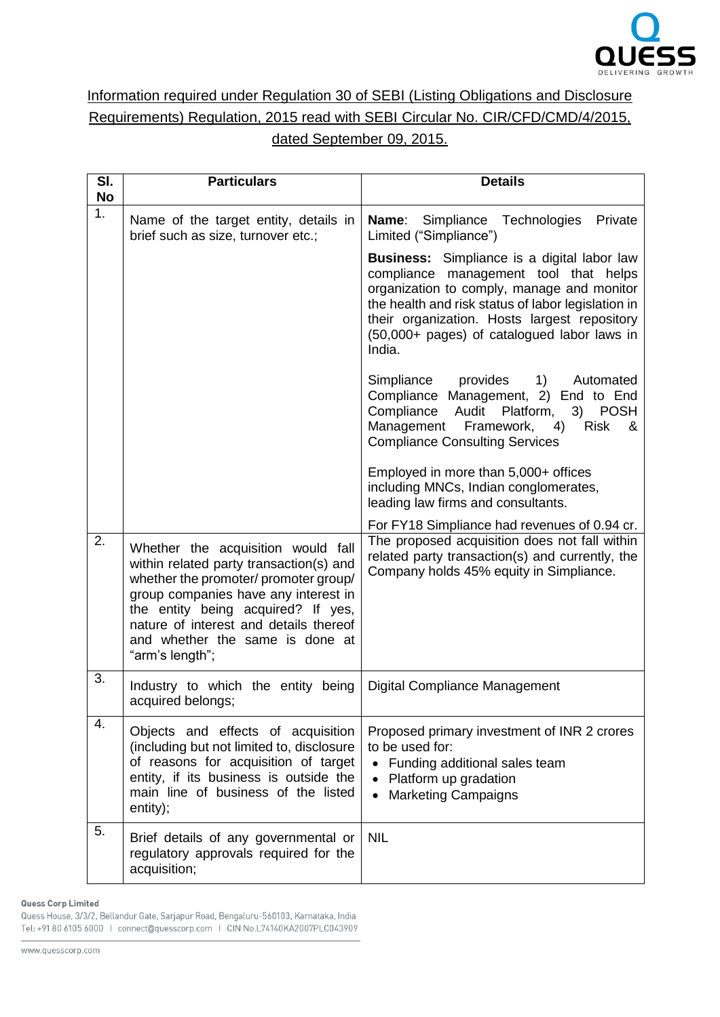

## Information required under Regulation 30 of SEBI (Listing Obligations and Disclosure Requirements) Regulation, 2015 read with SEBI Circular No. CIR/CFD/CMD/4/2015, dated September 09, 2015.

| SI.<br><b>No</b> | <b>Particulars</b>                                                                                                                                                                                                                                                                                   | <b>Details</b>                                                                                                                                                                                                                                                                                           |
|------------------|------------------------------------------------------------------------------------------------------------------------------------------------------------------------------------------------------------------------------------------------------------------------------------------------------|----------------------------------------------------------------------------------------------------------------------------------------------------------------------------------------------------------------------------------------------------------------------------------------------------------|
| 1.               | Name of the target entity, details in<br>brief such as size, turnover etc.;                                                                                                                                                                                                                          | <b>Name:</b> Simpliance Technologies<br>Private<br>Limited ("Simpliance")                                                                                                                                                                                                                                |
|                  |                                                                                                                                                                                                                                                                                                      | <b>Business:</b> Simpliance is a digital labor law<br>compliance management tool that helps<br>organization to comply, manage and monitor<br>the health and risk status of labor legislation in<br>their organization. Hosts largest repository<br>(50,000+ pages) of catalogued labor laws in<br>India. |
|                  |                                                                                                                                                                                                                                                                                                      | Simpliance provides<br>1)<br>Automated<br>Compliance Management, 2) End to End<br>Compliance Audit<br>Platform,<br>3)<br><b>POSH</b><br>Management Framework,<br><b>Risk</b><br>4)<br>&<br><b>Compliance Consulting Services</b>                                                                         |
|                  |                                                                                                                                                                                                                                                                                                      | Employed in more than 5,000+ offices<br>including MNCs, Indian conglomerates,<br>leading law firms and consultants.                                                                                                                                                                                      |
| 2.               | Whether the acquisition would fall<br>within related party transaction(s) and<br>whether the promoter/ promoter group/<br>group companies have any interest in<br>the entity being acquired? If yes,<br>nature of interest and details thereof<br>and whether the same is done at<br>"arm's length"; | For FY18 Simpliance had revenues of 0.94 cr.<br>The proposed acquisition does not fall within<br>related party transaction(s) and currently, the<br>Company holds 45% equity in Simpliance.                                                                                                              |
| 3.               | Industry to which the entity being<br>acquired belongs;                                                                                                                                                                                                                                              | Digital Compliance Management                                                                                                                                                                                                                                                                            |
| 4.               | Objects and effects of acquisition<br>(including but not limited to, disclosure<br>of reasons for acquisition of target<br>entity, if its business is outside the<br>main line of business of the listed<br>entity);                                                                                 | Proposed primary investment of INR 2 crores<br>to be used for:<br>Funding additional sales team<br>Platform up gradation<br><b>Marketing Campaigns</b><br>$\bullet$                                                                                                                                      |
| 5.               | Brief details of any governmental or<br>regulatory approvals required for the<br>acquisition;                                                                                                                                                                                                        | <b>NIL</b>                                                                                                                                                                                                                                                                                               |

Quess Corp Limited

Quess House, 3/3/2, Bellandur Gate, Sarjapur Road, Bengaluru-560103, Karnataka, India Tel: +91 80 6105 6000 | connect@quesscorp.com | CIN No.L74140KA2007PLC043909